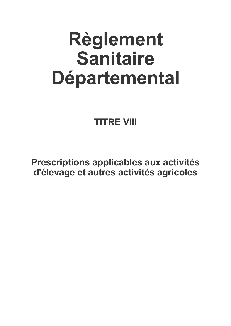# Règlement **Sanitaire** Départemental

# **TITRE VIII**

Prescriptions applicables aux activités d'élevage et autres activités agricoles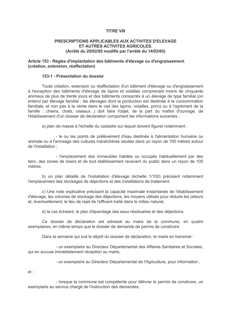# **TITRF VIII**

#### PRESCRIPTIONS APPLICABLES AUX ACTIVITES D'ELEVAGE ET AUTRES ACTIVITES AGRICOLES. (Arrêté du 20/02/85 modifié par l'arrêté du 14/03/85)

## Article 153 - Règles d'implantation des bâtiments d'élevage ou d'engraissement. (création, extension, réaffectation)

#### 153-1 - Présentation du dossier

Toute création, extension ou réaffectation d'un bâtiment d'élevage ou d'engraissement à l'exception des bâtiments d'élevage de lapins et volailles comprenant moins de cinquante animaux de plus de trente jours et des bâtiments consacrés à un élevage de type familial (on entend par élevage familial : les élevages dont la production est destinée à la consommation familiale, et non pas à la vente dans le cas des lapins, volailles, porcs ou à l'agrément de la famille : chiens, chats, oiseaux...) doit faire l'objet, de la part du maître d'ouvrage, de l'établissement d'un dossier de déclaration comportant les informations suivantes :

a) plan de masse à l'échelle du cadastre sur lequel doivent figurer notamment :

- le ou les points de prélèvement d'eau destinée à l'alimentation humaine ou animale ou à l'arrosage des cultures maraîchères situées dans un rayon de 100 mètres autour de l'installation :

- l'emplacement des immeubles habités ou occupés habituellement par des tiers, des zones de loisirs et de tout établissement recevant du public dans un rayon de 100 mètres

b) un plan détaillé de l'installation d'élevage (échelle 1/100) précisant notamment l'emplacement des stockages de déjections et des installations de traitement.

c) Une note explicative précisant la capacité maximale instantanée de l'établissement d'élevage, les volumes de stockage des déjections, les moyens utilisés pour réduire les odeurs et, éventuellement, le lieu de reiet de l'effluent traité dans le milieu naturel.

d) le cas échéant, le plan d'épandage des eaux résiduaires et des déjections.

Ce dossier de déclaration est adressé au maire de la commune, en quatre exemplaires, en même temps que le dossier de demande de permis de construire.

Dans la semaine qui suit le dépôt du dossier de déclaration. le maire en transmet :

- un exemplaire au Directeur Départemental des Affaires Sanitaires et Sociales, qui en accuse immédiatement réception au maire,

- un exemplaire au Directeur Départemental de l'Agriculture, pour information ;

 $et:$ 

- lorsque la commune est compétente pour délivrer le permis de construire, un exemplaire au service chargé de l'instruction des demandes.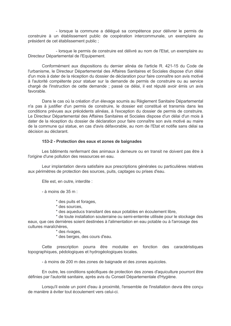- lorsque la commune a délégué sa compétence pour délivrer le permis de construire à un établissement public de coopération intercommunale, un exemplaire au président de cet établissement public :

- lorsque le permis de construire est délivré au nom de l'Etat, un exemplaire au Directeur Départemental de l'Equipement.

Conformément aux dispositions du dernier alinéa de l'article R. 421-15 du Code de l'urbanisme, le Directeur Départemental des Affaires Sanitaires et Sociales dispose d'un délai d'un mois à dater de la réception du dossier de déclaration pour faire connaître son avis motivé à l'autorité compétente pour statuer sur la demande de permis de construire ou au service chargé de l'instruction de cette demande ; passé ce délai, il est réputé avoir émis un avis favorable.

Dans le cas où la création d'un élevage soumis au Règlement Sanitaire Départemental n'a pas à justifier d'un permis de construire, le dossier est constitué et transmis dans les conditions prévues aux précédents alinéas, à l'exception du dossier de permis de construire. Le Directeur Départemental des Affaires Sanitaires et Sociales dispose d'un délai d'un mois à dater de la réception du dossier de déclaration pour faire connaître son avis motivé au maire de la commune qui statue, en cas d'avis défavorable, au nom de l'Etat et notifie sans délai sa décision au déclarant

# 153-2 - Protection des eaux et zones de baignades

Les bâtiments renfermant des animaux à demeure ou en transit ne doivent pas être à l'origine d'une pollution des ressources en eau.

Leur implantation devra satisfaire aux prescriptions générales ou particulières relatives aux périmètres de protection des sources, puits, captages ou prises d'eau.

Elle est. en outre, interdite :

- à moins de 35 m $\cdot$ 

\* des puits et forages.

- \* des sources.
- \* des aqueducs transitant des eaux potables en écoulement libre.

\* de toute installation souterraine ou semi-enterrée utilisée pour le stockage des eaux, que ces dernières soient destinées à l'alimentation en eau potable ou à l'arrosage des cultures maraîchères.

\* des rivages,

\* des berges, des cours d'eau.

Cette prescription pourra être modulée en fonction des caractéristiques topographiques, pédologiques et hydrogéologiques locales.

- à moins de 200 m des zones de baignade et des zones aquicoles.

En outre, les conditions spécifiques de protection des zones d'aquiculture pourront être définies par l'autorité sanitaire, après avis du Conseil Départementale d'Hygiène.

Lorsqu'il existe un point d'eau à proximité. l'ensemble de l'installation devra être concu de manière à éviter tout écoulement vers celui-ci.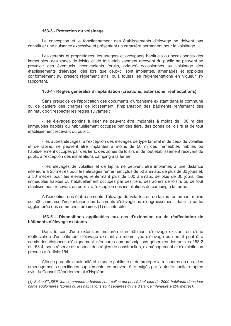#### 153-3 - Protection du voisinage

La conception et le fonctionnement des établissements d'élevage ne doivent pas constituer une nuisance excessive et présentant un caractère permanent pour le voisinage.

Les gérants et propriétaires, les usagers et occupants habituels ou occasionnels des immeubles, des zones de loisirs et de tout établissement recevant du public ne peuvent se prévaloir des éventuels inconvénients (bruits, odeurs) occasionnés au voisinage des établissements d'élevage, dès lors que ceux-ci sont implantés, aménagés et exploités conformément au présent règlement ainsi qu'à toutes les réglementations en viqueur s'v rapportant.

#### 153-4 - Règles générales d'implantation (créations, extensions, réaffectations)

Sans préjudice de l'application des documents d'urbanisme existant dans la commune ou de cahiers des charges de lotissement, l'implantation des bâtiments renfermant des animaux doit respecter les règles suivantes :

- les élevages porcins à lisier ne peuvent être implantés à moins de 100 m des immeubles habités ou habituellement occupés par des tiers, des zones de loisirs et de tout établissement recevant du public.

- les autres élevages, à l'exception des élevages de type familial et de ceux de volailles et de lapins, ne peuvent être implantés à moins de 50 m des immeubles habités ou habituellement occupés par des tiers, des zones de loisirs et de tout établissement recevant du public à l'exception des installations camping à la ferme,

- les élevages de volailles et de lapins ne peuvent être implantés à une distance inférieure à 25 mètres pour les élevages renfermant plus de 50 animaux de plus de 30 jours et, à 50 mètres pour les élevages renfermant plus de 500 animaux de plus de 30 jours, des immeubles habités ou habituellement occupés par des tiers, des zones de loisirs ou de tout établissement recevant du public, à l'exception des installations de camping à la ferme.

A l'exception des établissements d'élevage de volailles ou de lapins renfermant moins de 500 animaux. l'implantation des bâtiments d'élevage ou d'engraissement, dans la partie agglomérée des communes urbaines (1) est interdite.

# 153-5 - Dispositions applicables aux cas d'extension ou de réaffectation de bâtiments d'élevage existants.

Dans le cas d'une extension mesurée d'un bâtiment d'élevage existant ou d'une réaffectation d'un bâtiment d'élevage existant au même type d'élevage ou non, il peut être admis des distances d'éloignement inférieures aux prescriptions générales des articles 153-2 et 153-4, sous réserve du respect des règles de construction, d'aménagement et d'exploitation prévues à l'article 154.

Afin de garantir la salubrité et la santé publique et de protéger la ressource en eau, des aménagements spécifiques supplémentaires peuvent être exigés par l'autorité sanitaire après avis du Conseil Départemental d'Hygiène.

(1) Selon l'INSEE, les communes urbaines sont celles qui possèdent plus de 2000 habitants dans leur partie agglomérée (zones où les habitations sont séparées d'une distance inférieure à 200 mètres).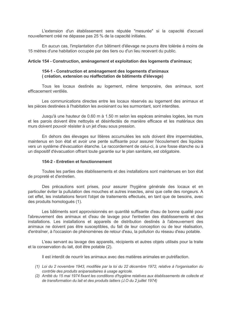L'extension d'un établissement sera réputée "mesurée" si la capacité d'accueil nouvellement créé ne dépasse pas 25 % de la capacité initiales.

En aucun cas, l'implantation d'un bâtiment d'élevage ne pourra être tolérée à moins de 15 mètres d'une habitation occupée par des tiers ou d'un lieu recevant du public.

#### Article 154 - Construction, aménagement et exploitation des logements d'animaux;

# 154-1 - Construction et aménagement des logements d'animaux (création, extension ou réaffectation de bâtiments d'élevage)

Tous les locaux destinés au logement, même temporaire, des animaux, sont efficacement ventilés.

Les communications directes entre les locaux réservés au logement des animaux et les pièces destinées à l'habitation les avoisinant ou les surmontant, sont interdites.

Jusqu'à une hauteur de 0.60 m à 1.50 m selon les espèces animales logées, les murs et les parois doivent être nettovés et désinfectés de manière efficace et les matériaux des murs doivent pouvoir résister à un jet d'eau sous pression.

En dehors des élevages sur litières accumulées les sols doivent être imperméables, maintenus en bon état et avoir une pente suffisante pour assurer l'écoulement des liquides vers un système d'évacuation étanche. Le raccordement de celui-ci, à une fosse étanche ou à un dispositif d'évacuation offrant toute garantie sur le plan sanitaire, est obligatoire.

#### 154-2 - Entretien et fonctionnement

Toutes les parties des établissements et des installations sont maintenues en bon état de propreté et d'entretien.

Des précautions sont prises, pour assurer l'hygiène générale des locaux et en particulier éviter la pullulation des mouches et autres insectes, ainsi que celle des rongeurs. A cet effet, les installations feront l'objet de traitements effectués, en tant que de besoins, avec des produits homologués (1).

Les bâtiments sont approvisionnés en quantité suffisante d'eau de bonne qualité pour l'abreuvement des animaux et d'eau de lavage pour l'entretien des établissements et des installations. Les installations et appareils de distribution destinés à l'abreuvement des animaux ne doivent pas être susceptibles, du fait de leur conception ou de leur réalisation, d'entraîner, à l'occasion de phénomènes de retour d'eau, la pollution du réseau d'eau potable.

L'eau servant au lavage des appareils, récipients et autres objets utilisés pour la traite et la conservation du lait, doit être potable (2).

Il est interdit de nourrir les animaux avec des matières animales en putréfaction.

- (1) Loi du 2 novembre 1943, modifiée par la loi du 22 décembre 1972, relative à l'organisation du contrôle des produits aniparasitaires à usage agricole.
- (2) Arrêté du 15 mai 1974 fixant les conditions d'hygiène relatives aux établissements de collecte et de transformation du lait et des produits laitiers (J.O du 2 juillet 1974)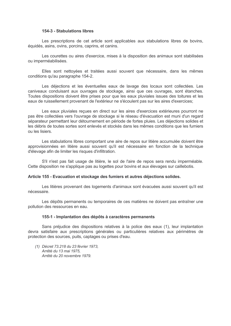#### 154-3 - Stabulations libres

Les prescriptions de cet article sont applicables aux stabulations libres de bovins. équidés, asins, ovins, porcins, caprins, et canins.

Les courettes ou aires d'exercice, mises à la disposition des animaux sont stabilisées ou imperméabilisées.

Elles sont nettoyées et traitées aussi souvent que nécessaire, dans les mêmes conditions gu'au paragraphe 154-2.

Les déjections et les éventuelles eaux de lavage des locaux sont collectées. Les caniveaux conduisant aux ouvrages de stockage, ainsi que ces ouvrages, sont étanches. Toutes dispositions doivent être prises pour que les eaux pluviales issues des toitures et les eaux de ruissellement provenant de l'extérieur ne s'écoulent pas sur les aires d'exercices;

Les eaux pluviales reçues en direct sur les aires d'exercices extérieures pourront ne pas être collectées vers l'ouvrage de stockage si le réseau d'évacuation est muni d'un regard séparateur permettant leur détournement en période de fortes pluies. Les déjections solides et les débris de toutes sortes sont enlevés et stockés dans les mêmes conditions que les fumiers ou les lisiers

Les stabulations libres comportant une aire de repos sur litière accumulée doivent être approvisionnées en litière aussi souvent qu'il est nécessaire en fonction de la technique d'élevage afin de limiter les risques d'infiltration.

S'il n'est pas fait usage de litière, le sol de l'aire de repos sera rendu imperméable. Cette disposition ne s'applique pas au logettes pour bovins et aux élevages sur caillebotis.

#### Article 155 - Evacuation et stockage des fumiers et autres déjections solides.

Les litières provenant des logements d'animaux sont évacuées aussi souvent qu'il est nécessaire

Les dépôts permanents ou temporaires de ces matières ne doivent pas entraîner une pollution des ressources en eau.

#### 155-1 - Implantation des dépôts à caractères permanents

Sans préjudice des dispositions relatives à la police des eaux (1), leur implantation devra satisfaire aux prescriptions générales ou particulières relatives aux périmètres de protection des sources, puits, captages ou prises d'eau.

(1) Décret 73.218 du 23 février 1973, Arrêté du 13 mai 1975. Arrêté du 20 novembre 1979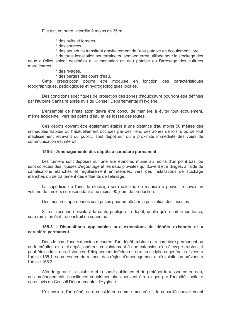Elle est, en outre, interdite à moins de 35 m.

\* des puits et forages.

- \* des sources.
- \* des aqueducs transitant gravitairement de l'eau potable en écoulement libre.
- \* de toute installation souterraine ou semi-enterrée utilisée pour le stockage des

eaux qu'elles soient destinées à l'alimentation en eau potable ou l'arrosage des cultures maraîchères.

\* des rivages,

\* des berges des cours d'eau.

Cette prescription pourra être modulée en fonction des caractéristiques topographiques, pédologiques et hydrogéologiques locales.

Des conditions spécifiques de protection des zones d'aquiculture pourront être définies par l'autorité Sanitaire après avis du Conseil Départemental d'Hygiène.

L'ensemble de l'installation devra être conçu de manière à éviter tout écoulement, même accidentel, vers les points d'eau et les fossés des routes.

Ces dépôts doivent être également établis à une distance d'au moins 50 mètres des immeubles habités ou habituellement occupés par des tiers, des zones de loisirs ou de tout établissement recevant du public. Tout dépôt sur ou à proximité immédiate des voies de communication est interdit.

# 155-2 - Aménagements des dépôts à caractère permanent

Les fumiers sont déposés sur une aire étanche, munie au moins d'un point bas, où sont collectés des liquides d'égouttage et les eaux pluviales qui doivent être dirigés, à l'aide de canalisations étanches et régulièrement entretenues, vers des installations de stockage étanches ou de traitement des effluents de l'élevage.

La superficie de l'aire de stockage sera calculée de manière à pouvoir recevoir un volume de fumiers correspondant à au moins 90 jours de production.

Des mesures appropriées sont prises pour empêcher la pullulation des insectes.

S'il est reconnu nuisible à la santé publique, le dépôt, quelle qu'en soit l'importance, sera remis en état, reconstruit ou supprimé.

# 155-3 - Dispositions applicables aux extensions de dépôts existants et à caractère permanent.

Dans le cas d'une extension mesurée d'un dépôt existant et à caractère permanent ou de la création d'un tel dépôt, opérées conjointement à une extension d'un élevage existant, il peut être admis des distances d'éloignement inférieures aux prescriptions générales fixées à l'article 155.1, sous réserve du respect des règles d'aménagement et d'exploitation prévues à l'article 1552

Afin de garantir la salubrité et la santé publiques et de protéger la ressource en eau, des aménagements spécifiques supplémentaires peuvent être exigés par l'autorité sanitaire après avis du Conseil Départemental d'Hygiène.

L'extension d'un dépôt sera considérée comme mesurée si la capacité nouvellement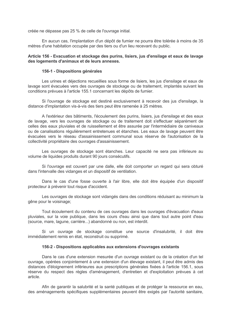créée ne dépasse pas 25 % de celle de l'ouvrage initial.

En aucun cas. l'implantation d'un dépôt de fumier ne pourra être tolérée à moins de 35 mètres d'une habitation occupée par des tiers ou d'un lieu recevant du public.

# Article 156 - Evacuation et stockage des purins, lisiers, jus d'ensilage et eaux de lavage des logements d'animaux et de leurs annexes.

#### 156-1 - Dispositions générales

Les urines et déjections recueillies sous forme de lisiers, les jus d'ensilage et eaux de lavage sont évacuées vers des ouvrages de stockage ou de traitement, implantés suivant les conditions prévues à l'article 155.1 concernant les dépôts de fumier.

Si l'ouvrage de stockage est destiné exclusivement à recevoir des jus d'ensilage, la distance d'implantation vis-à-vis des tiers peut être ramenée à 25 mètres.

A l'extérieur des bâtiments, l'écoulement des purins, lisiers, jus d'ensilage et des eaux de lavage, vers les ouvrages de stockage ou de traitement doit s'effectuer séparément de celles des eaux pluviales et de ruissellement et être assurée par l'intermédiaire de caniveaux ou de canalisations réqulièrement entretenues et étanches. Les eaux de layage peuvent être évacuées vers le réseau d'assainissement communal sous réserve de l'autorisation de la collectivité propriétaire des ouvrages d'assainissement.

Les ouvrages de stockage sont étanches. Leur capacité ne sera pas inférieure au volume de liquides produits durant 90 jours consécutifs.

Si l'ouvrage est couvert par une dalle, elle doit comporter un regard qui sera obturé dans l'intervalle des vidanges et un dispositif de ventilation.

Dans le cas d'une fosse ouverte à l'air libre, elle doit être équipée d'un dispositif protecteur à prévenir tout risque d'accident.

Les ouvrages de stockage sont vidangés dans des conditions réduisant au minimum la gêne pour le voisinage:

Tout écoulement du contenu de ces ouvrages dans les ouvrages d'évacuation d'eaux pluviales, sur la voie publique, dans les cours d'eau ainsi que dans tout autre point d'eau (source, mare, lagune, carrière...) abandonné ou non, est interdit.

Si un ouvrage de stockage constitue une source d'insalubrité, il doit être immédiatement remis en état, reconstruit ou supprimé.

#### 156-2 - Dispositions applicables aux extensions d'ouvrages existants

Dans le cas d'une extension mesurée d'un ouvrage existant ou de la création d'un tel ouvrage, opérées conjointement à une extension d'un élevage existant, il peut être admis des distances d'éloignement inférieures aux prescriptions générales fixées à l'article 156.1, sous réserve du respect des règles d'aménagement, d'entretien et d'exploitation prévues à cet article.

Afin de garantir la salubrité et la santé publiques et de protéger la ressource en eau. des aménagements spécifiques supplémentaires peuvent être exigés par l'autorité sanitaire,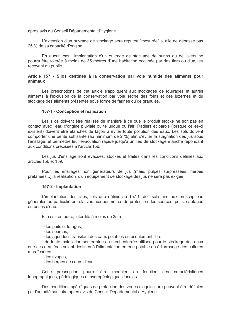après avis du Conseil Départemental d'Hygiène.

L'extension d'un ouvrage de stockage sera réputée "mesurée" si elle ne dépasse pas 25 % de sa capacité d'origine.

En aucun cas, l'implantation d'un ouvrage de stockage de purins ou de lisiers ne pourra être tolérée à moins de 35 mètres d'une habitation occupée par des tiers ou d'un lieu recevant du public.

# Article 157 - Silos destinés à la conservation par voie humide des aliments pour animaux

Les prescriptions de cet article s'appliquent aux stockages de fourrages et autres aliments à l'exclusion de la conservation par voie sèche des foins et des luzernes et du stockage des aliments présentés sous forme de farines ou de granulés.

#### 157-1 - Conception et réalisation

Les silos doivent être réalisés de manière à ce que le produit stocké ne soit pas en contact avec l'eau d'origine pluviale ou tellurique ou l'air. Radiers et parois (lorsque celles-ci existent) doivent être étanches de facon à éviter toute pollution des eaux. Les sols doivent comporter une pente suffisante (au minimum de 2 %) afin d'éviter la stagnation des jus sous l'ensilage, et permettre leur évacuation rapide jusqu'à un lieu de stockage étanche répondant aux conditions précisées à l'article 156.

Les jus d'ensilage sont évacués, stockés et traités dans les conditions définies aux articles 156 et 159.

Pour les ensilages non générateurs de jus (maïs, pulpes surpressées, herbes préfanées...) la réalisation d'un équipement de stockage des jus ne sera pas exigée.

#### 157-2 - Implantation

L'implantation des silos, tels que définis au 157.1, doit satisfaire aux prescriptions générales ou particulières relatives aux périmètres de protection des sources, puits, captages ou prises d'eau.

Elle est, en outre, interdite à moins de 35 m :

- des puits et forages.

- des sources.

- des aqueducs transitant des eaux potables en écoulement libre.

- de toute installation souterraine ou semi-enterrée utilisée pour le stockage des eaux que ces dernières soient destinés à l'alimentation en eau potable ou à l'arrosage des cultures maraîchères.

- des rivages,

- des berges de cours d'eau.

Cette prescription pourra être modulée en fonction des caractéristiques topographiques, pédologiques et hydrogéologiques locales.

Des conditions spécifiques de protection des zones d'aquiculture peuvent être définies par l'autorité sanitaire après avis du Conseil Départemental d'Hygiène.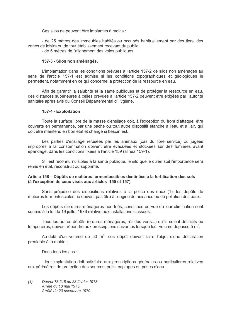Ces silos ne peuvent être implantés à moins :

- de 25 mètres des immeubles habités ou occupés habituellement par des tiers, des zones de loisirs ou de tout établissement recevant du public,

- de 5 mètres de l'alignement des voies publiques.

# 157-3 - Silos non aménagés.

L'implantation dans les conditions prévues à l'article 157-2 de silos non aménagés au sens de l'article 157-1 est admise si les conditions topographiques et géologiques le permettent, notamment en ce qui concerne la protection de la ressource en eau.

Afin de garantir la salubrité et la santé publiques et de protéger la ressource en eau. des distances supérieures à celles prévues à l'article 157-2 peuvent être exigées par l'autorité sanitaire après avis du Conseil Départemental d'Hygiène.

# 157-4 - Exploitation

Toute la surface libre de la masse d'ensilage doit, à l'exception du front d'attaque, être couverte en permanence, par une bâche ou tout autre dispositif étanche à l'eau et à l'air, qui doit être maintenu en bon état et changé si besoin est.

Les parties d'ensilage refusées par les animaux (cas du libre service) ou jugées impropres à la consommation doivent être évacuées et stockées sur des fumières avant épandage, dans les conditions fixées à l'article 159 (alinéa 159-1).

S'il est reconnu nuisibles à la santé publique, le silo quelle qu'en soit l'importance sera remis en état, reconstruit ou supprimé.

# Article 158 – Dépôts de matières fermentescibles destinées à la fertilisation des sols (à l'exception de ceux visés aux articles 155 et 157)

Sans préjudice des dispositions relatives à la police des eaux (1), les dépôts de matières fermentescibles ne doivent pas être à l'origine de nuisance ou de pollution des eaux.

Les dépôts d'ordures ménagères non triés, constitués en vue de leur élimination sont soumis à la loi du 19 juillet 1976 relative aux installations classées.

Tous les autres dépôts (ordures ménagères, résidus verts...) qu'ils soient définitifs ou temporaires, doivent répondre aux prescriptions suivantes lorsque leur volume dépasse 5  $\mathrm{m}^3$ .

Au-delà d'un volume de 50 m<sup>3</sup>, ces dépôt doivent faire l'obiet d'une déclaration préalable à la mairie :

Dans tous les cas :

- leur implantation doit satisfaire aux prescriptions générales ou particulières relatives aux périmètres de protection des sources, puits, captages ou prises d'eau ;

 $(1)$ Décret 73.218 du 23 février 1973 Arrêté du 13 mai 1975 Arrêté du 20 novembre 1979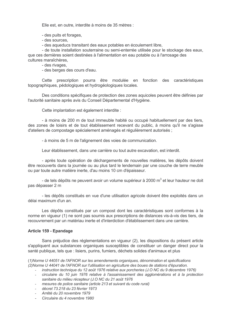Elle est, en outre, interdite à moins de 35 mètres :

- des puits et forages,
- des sources,
- des aqueducs transitant des eaux potables en écoulement libre,

- de toute installation souterraine ou semi-enterrée utilisée pour le stockage des eaux. que ces dernières soient destinées à l'alimentation en eau potable ou à l'arrosage des cultures maraîchères.

- des rivages,

- des berges des cours d'eau.

Cette prescription pourra être modulée en fonction des caractéristiques topographiques, pédologiques et hydrogéologiques locales.

Des conditions spécifiques de protection des zones aquicoles peuvent être définies par l'autorité sanitaire après avis du Conseil Départemental d'Hygiène.

Cette implantation est également interdite :

- à moins de 200 m de tout immeuble habité ou occupé habituellement par des tiers. des zones de loisirs et de tout établissement recevant du public, à moins qu'il ne s'agisse d'ateliers de compostage spécialement aménagés et régulièrement autorisés :

- à moins de 5 m de l'alignement des voies de communication.

Leur établissement, dans une carrière ou tout autre excavation, est interdit.

- après toute opération de déchargements de nouvelles matières, les dépôts doivent être recouverts dans la journée ou au plus tard le lendemain par une couche de terre meuble ou par toute autre matière inerte, d'au moins 10 cm d'épaisseur.

- de tels dépôts ne peuvent avoir un volume supérieur à 2000 m<sup>3</sup> et leur hauteur ne doit pas dépasser 2 m

- les dépôts constitués en vue d'une utilisation agricole doivent être exploités dans un délai maximum d'un an

Les dépôts constitués par un compost dont les caractéristiques sont conformes à la norme en vigueur (1) ne sont pas soumis aux prescriptions de distances vis-à-vis des tiers, de recouvrement par un matériau inerte et d'interdiction d'établissement dans une carrière.

#### Article 159 - Epandage

Sans préjudice des réglementations en vigueur (2), les dispositions du présent article s'appliquent aux substances organiques susceptibles de constituer un danger direct pour la santé publique, tels que : lisiers, purins, fumiers, déchets solides d'animaux et plus

(1) Norme U 44051 de l'AFNOR sur les amendements organiques, dénomination et spécifications (2) Norme U 44041 de l'AFNOR sur l'utilisation en agriculture des boues de stations d'épuration.

- instruction technique du 12 août 1976 relative aux porcheries (J.O. NC du 9 décembre 1976)
- circulaire du 10 juin 1976 relative à l'assainissement des agglomérations et à la protection  $\mathcal{L}^{\text{max}}$ sanitaire du milieu récepteur (J.O NC du 21 août 1976
- mesures de police sanitaire (article 213 et suivant du code rural)
- décret 73.218 du 23 février 1973
- Arrêté du 20 novembre 1979
- Circulaire du 4 novembre 1980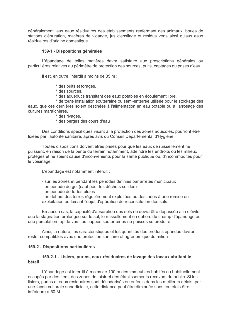généralement, aux eaux résiduaires des établissements renfermant des animaux, boues de stations d'épuration, matières de vidange, jus d'ensilage et résidus verts ainsi qu'aux eaux résiduaires d'origine domestique.

# 159-1 - Dispositions générales

L'épandage de telles matières devra satisfaire aux prescriptions générales ou particulières relatives au périmètre de protection des sources, puits, captages ou prises d'eau.

Il est. en outre, interdit à moins de 35 m :

- \* des puits et forages.
- \* des sources.
- \* des aqueducs transitant des eaux potables en écoulement libre,

\* de toute installation souterraine ou semi-enterrée utilisée pour le stockage des eaux, que ces dernières soient destinées à l'alimentation en eau potable ou à l'arrosage des cultures maraîchères.

- \* des rivages,
- \* des berges des cours d'eau

Des conditions spécifiques visant à la protection des zones aquicoles, pourront être fixées par l'autorité sanitaire, après avis du Conseil Départemental d'Hygiène.

Toutes dispositions doivent êtres prises pour que les eaux de ruissellement ne puissent, en raison de la pente du terrain notamment, atteindre les endroits ou les milieux protégés et ne soient cause d'inconvénients pour la santé publique ou, d'incommodités pour le voisinage.

L'épandage est notamment interdit :

- sur les zones et pendant les périodes définies par arrêtés municipaux
- en période de gel (sauf pour les déchets solides)
- en période de fortes pluies

- en dehors des terres réqulièrement exploitées ou destinées à une remise en exploitation ou faisant l'obiet d'opération de reconstitution des sols.

En aucun cas, la capacité d'absorption des sols ne devra être dépassée afin d'éviter que la stagnation prolongée sur le sol, le ruissellement en dehors du champ d'épandage ou une percolation rapide vers les nappes souterraines ne puisses se produire.

Ainsi, la nature, les caractéristiques et les quantités des produits épandus devront rester compatibles avec une protection sanitaire et agronomique du milieu

#### 159-2 - Dispositions particulières

# 159-2-1 - Lisiers, purins, eaux résiduaires de lavage des locaux abritant le hétail

L'épandage est interdit à moins de 100 m des immeubles habités ou habituellement occupés par des tiers, des zones de loisir et des établissements recevant du public. Si les lisiers, purins et eaux résiduaires sont désodorisés ou enfouis dans les meilleurs délais, par une facon culturale superficielle, cette distance peut être diminuée sans toutefois être inférieure à 50 M.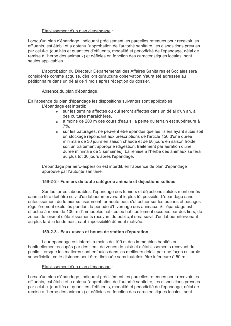# Etablissement d'un plan d'épandage :

Lorsqu'un plan d'épandage, indiquant précisément les parcelles retenues pour recevoir les effluents, est établi et a obtenu l'approbation de l'autorité sanitaire, les dispositions prévues par celui-ci (qualités et quantités d'effluents, modalité et périodicité de l'épandage, délai de remise à l'herbe des animaux) et définies en fonction des caractéristiques locales, sont seules applicables.

L'approbation du Directeur Départemental des Affaires Sanitaires et Sociales sera considérée comme acquise, dès lors qu'aucune observation n'aura été adressée au pétitionnaire dans un délai de 1 mois après réception du dossier.

# Absence du plan d'épandage :

En l'absence du plan d'épandage les dispositions suivantes sont applicables :

L'épandage est interdit:

- sur les terrains affectés ou qui seront affectés dans un délai d'un an. à des cultures maraîchères.
- à moins de 200 m des cours d'eau si la pente du terrain est supérieure à  $7%$
- sur les pâturages, ne peuvent être épandus que les lisiers avant subis soit un stockage répondant aux prescriptions de l'article 156 d'une durée minimale de 30 jours en saison chaude et de 60 jours en saison froide. soit un traitement approprié (digestion: traitement par aération d'une durée minimale de 3 semaines). La remise à l'herbe des animaux se fera au plus tôt 30 jours après l'épandage.

L'épandage par aéro-aspersion est interdit, en l'absence de plan d'épandage approuvé par l'autorité sanitaire.

# 159-2-2 - Fumiers de toute catégorie animale et déjections solides

Sur les terres labourables, l'épandage des fumiers et déjections solides mentionnés dans ce titre doit être suivi d'un labour intervenant le plus tôt possible. L'épandage sans enfouissement de fumier suffisamment fermenté peut s'effectuer sur les prairies et pacages réquijèrement exploités pendant la période d'hivernage des animaux. Si l'épandage est effectué à moins de 100 m d'immeubles habités ou habituellement occupés par des tiers, de zones de loisir et d'établissements recevant du public, il sera suivit d'un labour intervenant au plus tard le lendemain, sauf impossibilité dûment motivée.

# 159-2-3 - Eaux usées et boues de station d'épuration

Leur épandage est interdit à moins de 100 m des immeubles habités ou habituellement occupés par des tiers, de zones de loisir et d'établissements recevant du public. Lorsque les matières sont enfouies dans les meilleurs délais par une façon culturale superficielle, cette distance peut être diminuée sans toutefois être inférieure à 50 m.

# Etablissement d'un plan d'épandage :

Lorsqu'un plan d'épandage, indiquant précisément les parcelles retenues pour recevoir les effluents, est établi et a obtenu l'approbation de l'autorité sanitaire, les dispositions prévues par celui-ci (qualités et quantités d'effluents, modalité et périodicité de l'épandage, délai de remise à l'herbe des animaux) et définies en fonction des caractéristiques locales, sont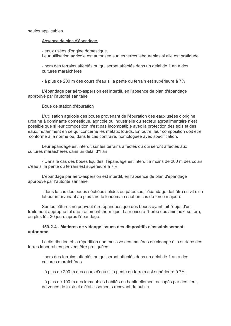seules applicables.

Absence de plan d'épandage :

- eaux usées d'origine domestique. Leur utilisation agricole est autorisée sur les terres labourables si elle est pratiquée

- hors des terrains affectés ou qui seront affectés dans un délai de 1 an à des cultures maraîchères

- à plus de 200 m des cours d'eau si la pente du terrain est supérieure à 7%.

L'épandage par aéro-aspersion est interdit, en l'absence de plan d'épandage approuvé par l'autorité sanitaire

#### Boue de station d'épuration

L'utilisation agricole des boues provenant de l'épuration des eaux usées d'origine urbaine à dominante domestique, agricole ou industrielle du secteur agroalimentaire n'est possible que si leur composition n'est pas incompatible avec la protection des sols et des eaux, notamment en ce qui concerne les métaux lourds. En outre, leur composition doit être conforme à la norme ou, dans le cas contraire, homologuée avec spécification.

Leur épandage est interdit sur les terrains affectés ou qui seront affectés aux cultures maraîchères dans un délai d'1 an

- Dans le cas des boues liquides, l'épandage est interdit à moins de 200 m des cours d'eau si la pente du terrain est supérieure à 7%.

L'épandage par aéro-aspersion est interdit, en l'absence de plan d'épandage approuvé par l'autorité sanitaire

- dans le cas des boues séchées solides ou pâteuses, l'épandage doit être suivit d'un labour intervenant au plus tard le lendemain sauf en cas de force majeure

Sur les pâtures ne peuvent être épandues que des boues ayant fait l'objet d'un traitement approprié tel que traitement thermique. La remise à l'herbe des animaux se fera. au plus tôt, 30 jours après l'épandage.

# 159-2-4 - Matières de vidange issues des dispositifs d'assainissement autonome

La distribution et la répartition non massive des matières de vidange à la surface des terres labourables peuvent être pratiquées:

- hors des terrains affectés ou qui seront affectés dans un délai de 1 an à des cultures maraîchères

- à plus de 200 m des cours d'eau si la pente du terrain est supérieure à 7%.

- à plus de 100 m des immeubles habités ou habituellement occupés par des tiers. de zones de loisir et d'établissements recevant du public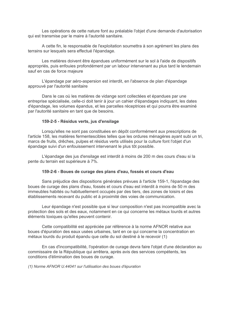Les opérations de cette nature font au préalable l'objet d'une demande d'autorisation qui est transmise par le maire à l'autorité sanitaire.

A cette fin, le responsable de l'exploitation soumettra à son agrément les plans des terrains sur lesquels sera effectué l'épandage.

Les matières doivent être épandues uniformément sur le sol à l'aide de dispositifs appropriés, puis enfouies profondément par un labour intervenant au plus tard le lendemain sauf en cas de force majeure

L'épandage par aéro-aspersion est interdit, en l'absence de plan d'épandage approuvé par l'autorité sanitaire

Dans le cas où les matières de vidange sont collectées et épandues par une entreprise spécialisée, celle-ci doit tenir à jour un cahier d'épandages indiquant, les dates d'épandage, les volumes épandus, et les parcelles réceptrices et qui pourra être examiné par l'autorité sanitaire en tant que de besoins.

#### 159-2-5 - Résidus verts, jus d'ensilage

Lorsqu'elles ne sont pas constituées en dépôt conformément aux prescriptions de l'article 158, les matières fermentescibles telles que les ordures ménagères ayant subi un tri, marcs de fruits, drêches, pulpes et résidus verts utilisés pour la culture font l'objet d'un épandage suivi d'un enfouissement intervenant le plus tôt possible.

L'épandage des jus d'ensilage est interdit à moins de 200 m des cours d'eau si la pente du terrain est supérieure à 7%.

#### 159-2-6 - Boues de curage des plans d'eau, fossés et cours d'eau

Sans préjudice des dispositions générales prévues à l'article 159-1. l'épandage des boues de curage des plans d'eau, fossés et cours d'eau est interdit à moins de 50 m des immeubles habités ou habituellement occupés par des tiers, des zones de loisirs et des établissements recevant du public et à proximité des voies de communication.

Leur épandage n'est possible que si leur composition n'est pas incompatible avec la protection des sols et des eaux, notamment en ce qui concerne les métaux lourds et autres éléments toxiques qu'elles peuvent contenir.

Cette compatibilité est appréciée par référence à la norme AFNOR relative aux boues d'épuration des eaux usées urbaines, tant en ce qui concerne la concentration en métaux lourds du produit épandu que celle du sol destiné à le recevoir (1)

En cas d'incompatibilité, l'opération de curage devra faire l'objet d'une déclaration au commissaire de la République qui arrêtera, après avis des services compétents, les conditions d'élimination des boues de curage.

(1) Norme AFNOR U.44041 sur l'utilisation des boues d'épuration